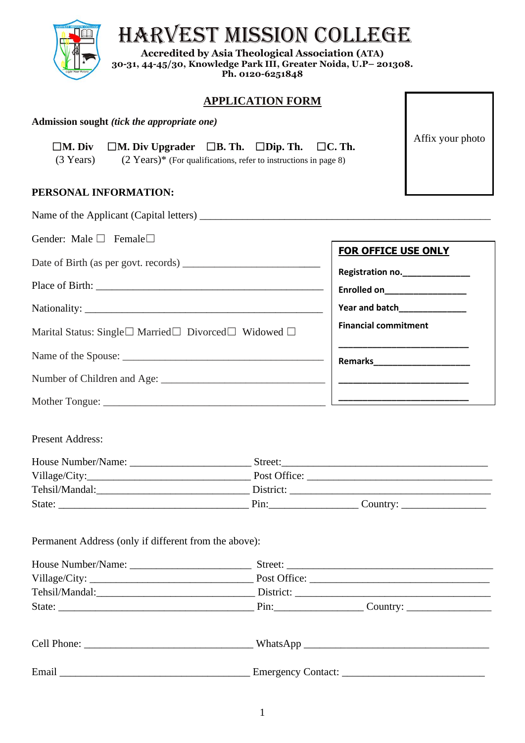

# HARVEST MISSION COLLEGE

**Accredited by Asia Theological Association (ATA) 30-31, 44-45/30, Knowledge Park III, Greater Noida, U.P– 201308. Ph. 0120-6251848**

## **APPLICATION FORM**

Affix your photo

#### **Admission sought** *(tick the appropriate one)*

## ☐**M. Div** ☐**M. Div Upgrader** ☐**B. Th.** ☐**Dip. Th.** ☐**C. Th.**

(3 Years)(2 Years)\* (For qualifications, refer to instructions in page 8)

### **PERSONAL INFORMATION:**

| Gender: Male □ Female□                                | <b>FOR OFFICE USE ONLY</b>      |
|-------------------------------------------------------|---------------------------------|
|                                                       |                                 |
|                                                       | Registration no._______________ |
|                                                       | Enrolled on_________________    |
|                                                       |                                 |
| Marital Status: Single□ Married□ Divorced□ Widowed □  | <b>Financial commitment</b>     |
|                                                       |                                 |
|                                                       |                                 |
|                                                       |                                 |
| <b>Present Address:</b>                               |                                 |
|                                                       |                                 |
|                                                       |                                 |
|                                                       |                                 |
| Permanent Address (only if different from the above): |                                 |
|                                                       |                                 |
|                                                       |                                 |
|                                                       |                                 |
|                                                       |                                 |
|                                                       |                                 |
|                                                       |                                 |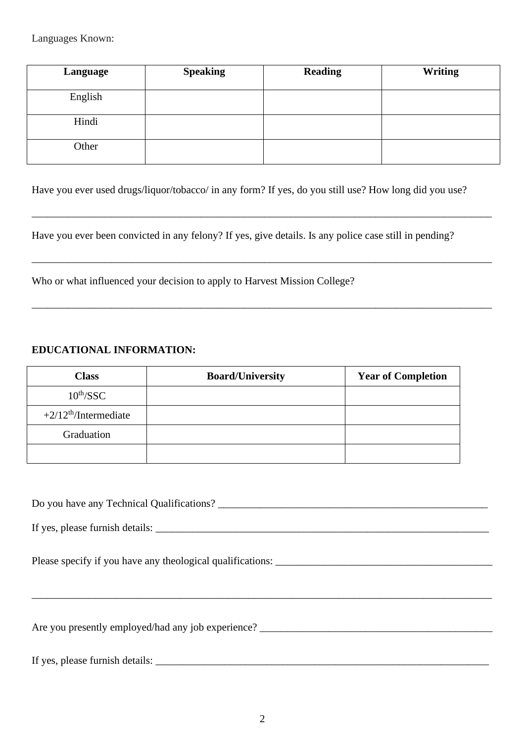Languages Known:

| Language | <b>Speaking</b> | <b>Reading</b> | <b>Writing</b> |
|----------|-----------------|----------------|----------------|
| English  |                 |                |                |
| Hindi    |                 |                |                |
| Other    |                 |                |                |

Have you ever used drugs/liquor/tobacco/ in any form? If yes, do you still use? How long did you use?

\_\_\_\_\_\_\_\_\_\_\_\_\_\_\_\_\_\_\_\_\_\_\_\_\_\_\_\_\_\_\_\_\_\_\_\_\_\_\_\_\_\_\_\_\_\_\_\_\_\_\_\_\_\_\_\_\_\_\_\_\_\_\_\_\_\_\_\_\_\_\_\_\_\_\_\_\_\_\_\_\_\_\_\_\_\_\_

\_\_\_\_\_\_\_\_\_\_\_\_\_\_\_\_\_\_\_\_\_\_\_\_\_\_\_\_\_\_\_\_\_\_\_\_\_\_\_\_\_\_\_\_\_\_\_\_\_\_\_\_\_\_\_\_\_\_\_\_\_\_\_\_\_\_\_\_\_\_\_\_\_\_\_\_\_\_\_\_\_\_\_\_\_\_\_

\_\_\_\_\_\_\_\_\_\_\_\_\_\_\_\_\_\_\_\_\_\_\_\_\_\_\_\_\_\_\_\_\_\_\_\_\_\_\_\_\_\_\_\_\_\_\_\_\_\_\_\_\_\_\_\_\_\_\_\_\_\_\_\_\_\_\_\_\_\_\_\_\_\_\_\_\_\_\_\_\_\_\_\_\_\_\_

Have you ever been convicted in any felony? If yes, give details. Is any police case still in pending?

Who or what influenced your decision to apply to Harvest Mission College?

#### **EDUCATIONAL INFORMATION:**

| <b>Class</b>           | <b>Board/University</b> | <b>Year of Completion</b> |
|------------------------|-------------------------|---------------------------|
| $10^{\text{th}}$ /SSC  |                         |                           |
| $+2/12th/Intermediate$ |                         |                           |
| Graduation             |                         |                           |
|                        |                         |                           |

Do you have any Technical Qualifications?

If yes, please furnish details: \_\_\_\_\_\_\_\_\_\_\_\_\_\_\_\_\_\_\_\_\_\_\_\_\_\_\_\_\_\_\_\_\_\_\_\_\_\_\_\_\_\_\_\_\_\_\_\_\_\_\_\_\_\_\_\_\_\_\_\_\_\_\_

Please specify if you have any theological qualifications: \_\_\_\_\_\_\_\_\_\_\_\_\_\_\_\_\_\_\_\_\_\_\_\_\_\_\_\_\_\_\_\_\_\_\_\_\_\_\_\_\_

Are you presently employed/had any job experience?

If yes, please furnish details: \_\_\_\_\_\_\_\_\_\_\_\_\_\_\_\_\_\_\_\_\_\_\_\_\_\_\_\_\_\_\_\_\_\_\_\_\_\_\_\_\_\_\_\_\_\_\_\_\_\_\_\_\_\_\_\_\_\_\_\_\_\_\_

\_\_\_\_\_\_\_\_\_\_\_\_\_\_\_\_\_\_\_\_\_\_\_\_\_\_\_\_\_\_\_\_\_\_\_\_\_\_\_\_\_\_\_\_\_\_\_\_\_\_\_\_\_\_\_\_\_\_\_\_\_\_\_\_\_\_\_\_\_\_\_\_\_\_\_\_\_\_\_\_\_\_\_\_\_\_\_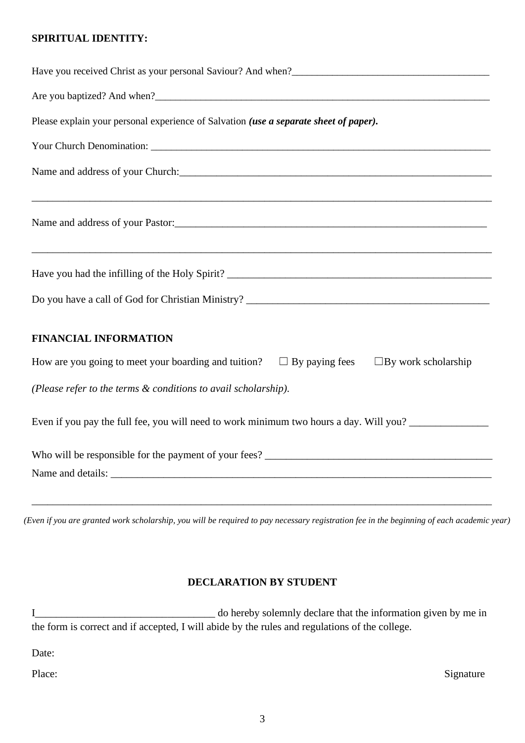#### **SPIRITUAL IDENTITY:**

| Please explain your personal experience of Salvation (use a separate sheet of paper).                                                                                                                                         |
|-------------------------------------------------------------------------------------------------------------------------------------------------------------------------------------------------------------------------------|
|                                                                                                                                                                                                                               |
|                                                                                                                                                                                                                               |
| Name and address of your Pastor: 2008 and 2008 and 2008 and 2008 and 2008 and 2008 and 2008 and 2008 and 2008 and 2008 and 2008 and 2008 and 2008 and 2008 and 2008 and 2008 and 2008 and 2008 and 2008 and 2008 and 2008 and |
|                                                                                                                                                                                                                               |
| Do you have a call of God for Christian Ministry? _______________________________                                                                                                                                             |
| <b>FINANCIAL INFORMATION</b>                                                                                                                                                                                                  |
| How are you going to meet your boarding and tuition?<br>$\Box$ By paying fees $\Box$ By work scholarship                                                                                                                      |
| (Please refer to the terms & conditions to avail scholarship).                                                                                                                                                                |
| Even if you pay the full fee, you will need to work minimum two hours a day. Will you?                                                                                                                                        |
|                                                                                                                                                                                                                               |
|                                                                                                                                                                                                                               |
|                                                                                                                                                                                                                               |

*(Even if you are granted work scholarship, you will be required to pay necessary registration fee in the beginning of each academic year)*

#### **DECLARATION BY STUDENT**

I\_\_\_\_\_\_\_\_\_\_\_\_\_\_\_\_\_\_\_\_\_\_\_\_\_\_\_\_\_\_\_\_\_\_ do hereby solemnly declare that the information given by me in the form is correct and if accepted, I will abide by the rules and regulations of the college.

Date:

Place: Signature Signature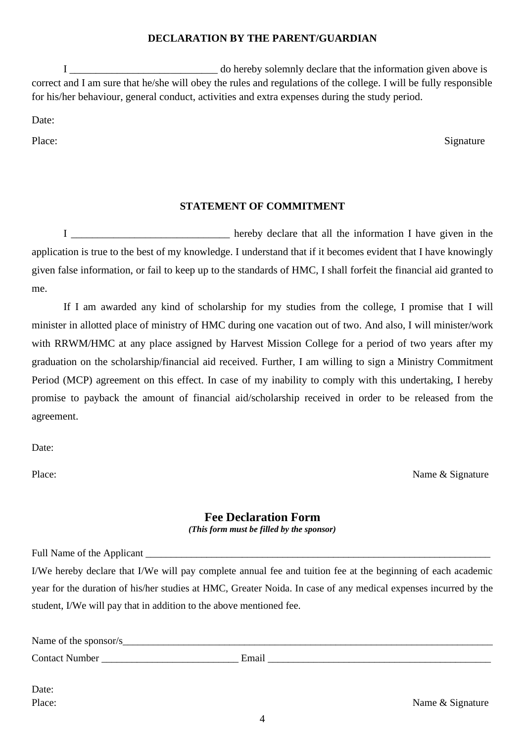#### **DECLARATION BY THE PARENT/GUARDIAN**

I \_\_\_\_\_\_\_\_\_\_\_\_\_\_\_\_\_\_\_\_\_\_\_\_\_\_\_\_ do hereby solemnly declare that the information given above is correct and I am sure that he/she will obey the rules and regulations of the college. I will be fully responsible for his/her behaviour, general conduct, activities and extra expenses during the study period.

Date:

Place: Signature Signature

## **STATEMENT OF COMMITMENT**

I \_\_\_\_\_\_\_\_\_\_\_\_\_\_\_\_\_\_\_\_\_\_\_\_\_\_\_\_\_\_\_\_ hereby declare that all the information I have given in the application is true to the best of my knowledge. I understand that if it becomes evident that I have knowingly given false information, or fail to keep up to the standards of HMC, I shall forfeit the financial aid granted to me.

If I am awarded any kind of scholarship for my studies from the college, I promise that I will minister in allotted place of ministry of HMC during one vacation out of two. And also, I will minister/work with RRWM/HMC at any place assigned by Harvest Mission College for a period of two years after my graduation on the scholarship/financial aid received. Further, I am willing to sign a Ministry Commitment Period (MCP) agreement on this effect. In case of my inability to comply with this undertaking, I hereby promise to payback the amount of financial aid/scholarship received in order to be released from the agreement.

Date:

Place: Name & Signature

#### **Fee Declaration Form** *(This form must be filled by the sponsor)*

Full Name of the Applicant

I/We hereby declare that I/We will pay complete annual fee and tuition fee at the beginning of each academic year for the duration of his/her studies at HMC, Greater Noida. In case of any medical expenses incurred by the student, I/We will pay that in addition to the above mentioned fee.

| Name of the sponsor/s |       |
|-----------------------|-------|
| <b>Contact Number</b> | Email |
|                       |       |

Date:

Place: Name & Signature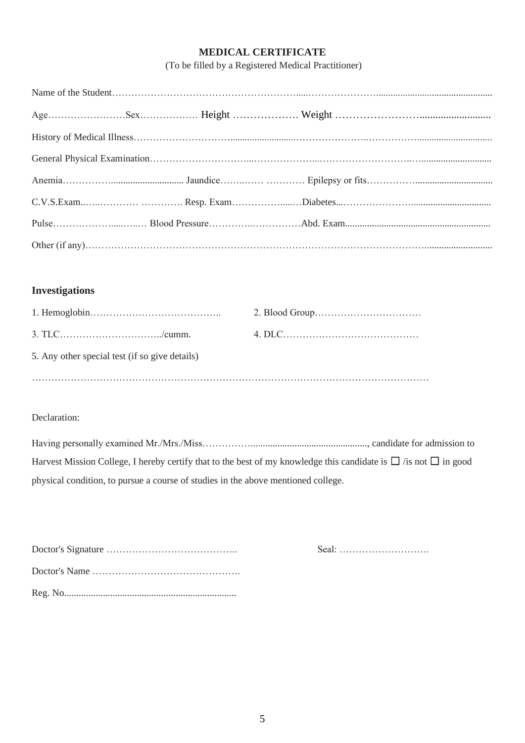#### **MEDICAL CERTIFICATE**

(To be filled by a Registered Medical Practitioner)

## **Investigations**

| 5. Any other special test (if so give details) |  |
|------------------------------------------------|--|
|                                                |  |

#### Declaration:

Having personally examined Mr./Mrs./Miss……………................................................, candidate for admission to Harvest Mission College, I hereby certify that to the best of my knowledge this candidate is  $\Box$  /is not  $\Box$  in good physical condition, to pursue a course of studies in the above mentioned college.

Doctor's Signature ………………………………….. Seal: ……………………….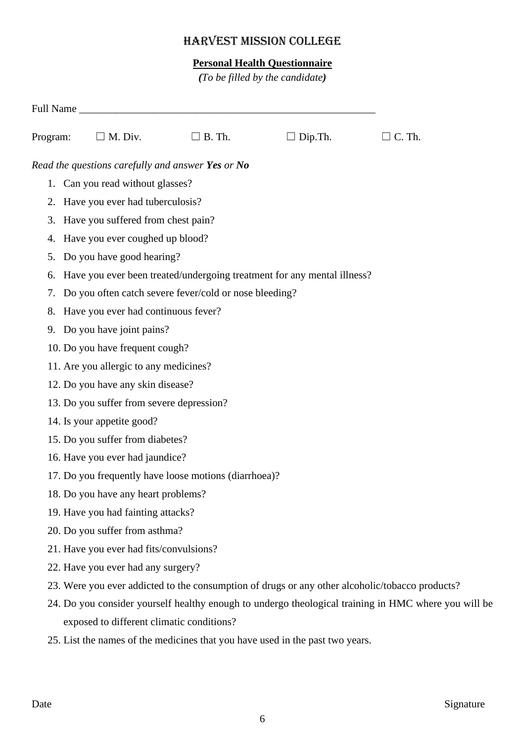# HARVEST MISSION COLLEGE

## **Personal Health Questionnaire**

*(To be filled by the candidate)*

| Program: | $\Box$ M. Div.                            | $\Box$ B. Th.                                          | $\Box$ Dip. Th.                                                                                 | $\Box$ C. Th.                                                                                        |
|----------|-------------------------------------------|--------------------------------------------------------|-------------------------------------------------------------------------------------------------|------------------------------------------------------------------------------------------------------|
|          |                                           | Read the questions carefully and answer Yes or No      |                                                                                                 |                                                                                                      |
|          | 1. Can you read without glasses?          |                                                        |                                                                                                 |                                                                                                      |
|          | 2. Have you ever had tuberculosis?        |                                                        |                                                                                                 |                                                                                                      |
| 3.       | Have you suffered from chest pain?        |                                                        |                                                                                                 |                                                                                                      |
| 4.       | Have you ever coughed up blood?           |                                                        |                                                                                                 |                                                                                                      |
| 5.       | Do you have good hearing?                 |                                                        |                                                                                                 |                                                                                                      |
| 6.       |                                           |                                                        | Have you ever been treated/undergoing treatment for any mental illness?                         |                                                                                                      |
| 7.       |                                           | Do you often catch severe fever/cold or nose bleeding? |                                                                                                 |                                                                                                      |
| 8.       | Have you ever had continuous fever?       |                                                        |                                                                                                 |                                                                                                      |
| 9.       | Do you have joint pains?                  |                                                        |                                                                                                 |                                                                                                      |
|          | 10. Do you have frequent cough?           |                                                        |                                                                                                 |                                                                                                      |
|          | 11. Are you allergic to any medicines?    |                                                        |                                                                                                 |                                                                                                      |
|          | 12. Do you have any skin disease?         |                                                        |                                                                                                 |                                                                                                      |
|          | 13. Do you suffer from severe depression? |                                                        |                                                                                                 |                                                                                                      |
|          | 14. Is your appetite good?                |                                                        |                                                                                                 |                                                                                                      |
|          | 15. Do you suffer from diabetes?          |                                                        |                                                                                                 |                                                                                                      |
|          | 16. Have you ever had jaundice?           |                                                        |                                                                                                 |                                                                                                      |
|          |                                           | 17. Do you frequently have loose motions (diarrhoea)?  |                                                                                                 |                                                                                                      |
|          | 18. Do you have any heart problems?       |                                                        |                                                                                                 |                                                                                                      |
|          | 19. Have you had fainting attacks?        |                                                        |                                                                                                 |                                                                                                      |
|          | 20. Do you suffer from asthma?            |                                                        |                                                                                                 |                                                                                                      |
|          | 21. Have you ever had fits/convulsions?   |                                                        |                                                                                                 |                                                                                                      |
|          | 22. Have you ever had any surgery?        |                                                        |                                                                                                 |                                                                                                      |
|          |                                           |                                                        | 23. Were you ever addicted to the consumption of drugs or any other alcoholic/tobacco products? |                                                                                                      |
|          |                                           |                                                        |                                                                                                 | 24. Do you consider yourself healthy enough to undergo theological training in HMC where you will be |
|          | exposed to different climatic conditions? |                                                        |                                                                                                 |                                                                                                      |
|          |                                           |                                                        | 25. List the names of the medicines that you have used in the past two years.                   |                                                                                                      |
|          |                                           |                                                        |                                                                                                 |                                                                                                      |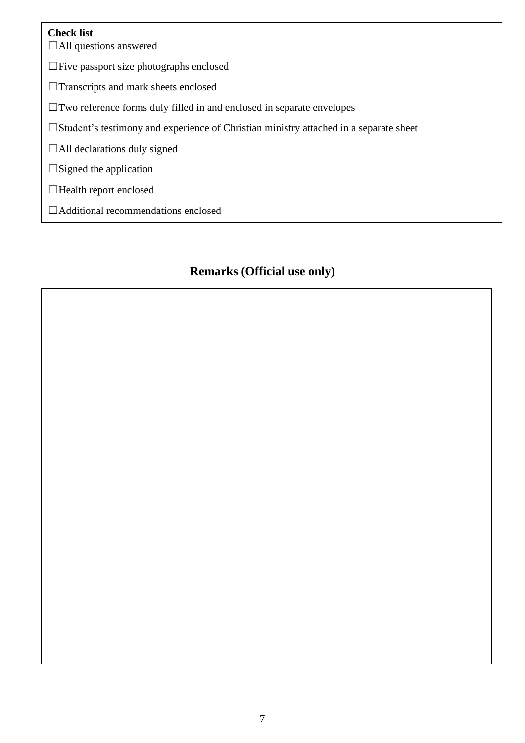## **Check list**

☐All questions answered

☐Five passport size photographs enclosed

□Transcripts and mark sheets enclosed

☐Two reference forms duly filled in and enclosed in separate envelopes

☐Student's testimony and experience of Christian ministry attached in a separate sheet

 $\Box$ All declarations duly signed

 $\square$ Signed the application

☐Health report enclosed

☐Additional recommendations enclosed

# **Remarks (Official use only)**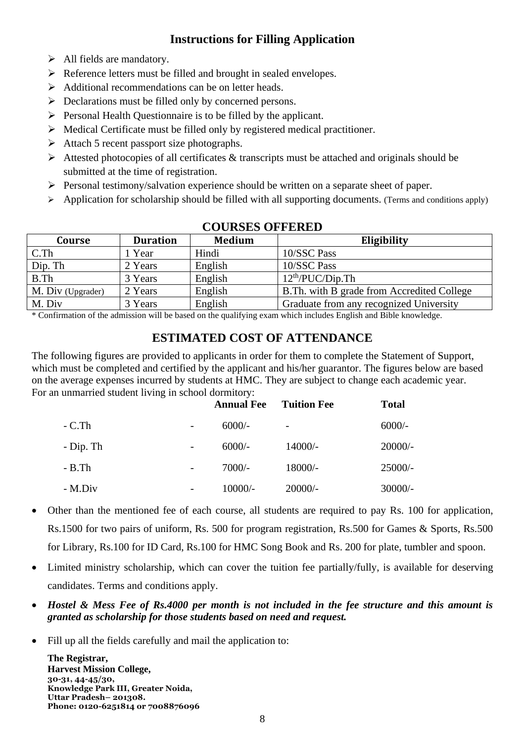# **Instructions for Filling Application**

- ➢ All fields are mandatory.
- ➢ Reference letters must be filled and brought in sealed envelopes.
- ➢ Additional recommendations can be on letter heads.
- ➢ Declarations must be filled only by concerned persons.
- ➢ Personal Health Questionnaire is to be filled by the applicant.
- ➢ Medical Certificate must be filled only by registered medical practitioner.
- $\triangleright$  Attach 5 recent passport size photographs.
- $\triangleright$  Attested photocopies of all certificates & transcripts must be attached and originals should be submitted at the time of registration.
- ➢ Personal testimony/salvation experience should be written on a separate sheet of paper.
- $\triangleright$  Application for scholarship should be filled with all supporting documents. (Terms and conditions apply)

| <b>Course</b>     | <b>Duration</b> | <b>Medium</b> | Eligibility                                 |
|-------------------|-----------------|---------------|---------------------------------------------|
| $C$ .Th           | 1 Year          | Hindi         | 10/SSC Pass                                 |
| Dip. Th           | 2 Years         | English       | 10/SSC Pass                                 |
| B.Th              | 3 Years         | English       | 12 <sup>th</sup> /PUC/Dip. <sub>Th</sub>    |
| M. Div (Upgrader) | 2 Years         | English       | B. Th. with B grade from Accredited College |
| M. Div            | 3 Years         | English       | Graduate from any recognized University     |

## **COURSES OFFERED**

\* Confirmation of the admission will be based on the qualifying exam which includes English and Bible knowledge.

# **ESTIMATED COST OF ATTENDANCE**

The following figures are provided to applicants in order for them to complete the Statement of Support, which must be completed and certified by the applicant and his/her guarantor. The figures below are based on the average expenses incurred by students at HMC. They are subject to change each academic year. For an unmarried student living in school dormitory:

|            |                          | <b>Annual Fee</b> | <b>Tuition Fee</b>       | <b>Total</b> |
|------------|--------------------------|-------------------|--------------------------|--------------|
| $-C.Th$    | $\overline{\phantom{a}}$ | $6000/-$          | $\overline{\phantom{a}}$ | $6000/-$     |
| $-Dip. Th$ | $\overline{\phantom{a}}$ | $6000/-$          | $14000/-$                | $20000/-$    |
| $-B$ . Th  | $\overline{\phantom{0}}$ | $7000/-$          | $18000/-$                | $25000/-$    |
| - M.Div    | $\overline{\phantom{a}}$ | $10000/-$         | $20000/-$                | $30000/-$    |

- Other than the mentioned fee of each course, all students are required to pay Rs. 100 for application, Rs.1500 for two pairs of uniform, Rs. 500 for program registration, Rs.500 for Games & Sports, Rs.500 for Library, Rs.100 for ID Card, Rs.100 for HMC Song Book and Rs. 200 for plate, tumbler and spoon.
- Limited ministry scholarship, which can cover the tuition fee partially/fully, is available for deserving candidates. Terms and conditions apply.
- *Hostel & Mess Fee of Rs.4000 per month is not included in the fee structure and this amount is granted as scholarship for those students based on need and request.*
- Fill up all the fields carefully and mail the application to:

**The Registrar, Harvest Mission College, 30-31, 44-45/30, Knowledge Park III, Greater Noida, Uttar Pradesh– 201308. Phone: 0120-6251814 or 7008876096**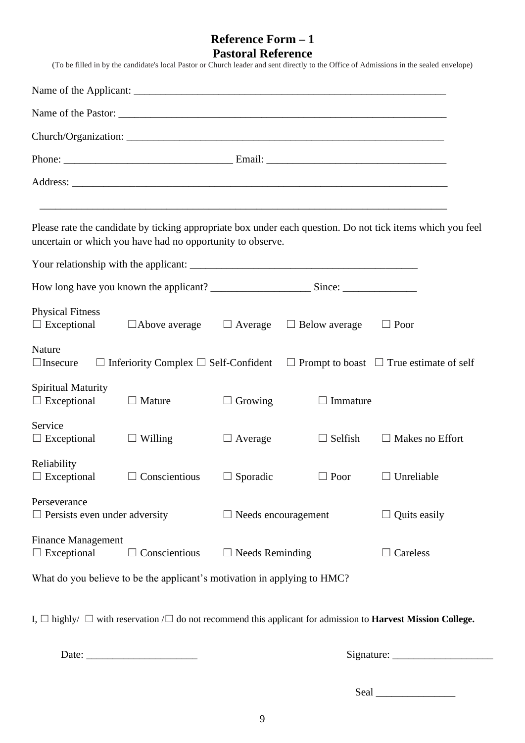# **Reference Form – 1 Pastoral Reference**

|                                                      |                                                                          |                            |                      | (To be filled in by the candidate's local Pastor or Church leader and sent directly to the Office of Admissions in the sealed envelope) |  |  |  |
|------------------------------------------------------|--------------------------------------------------------------------------|----------------------------|----------------------|-----------------------------------------------------------------------------------------------------------------------------------------|--|--|--|
|                                                      |                                                                          |                            |                      |                                                                                                                                         |  |  |  |
|                                                      |                                                                          |                            |                      |                                                                                                                                         |  |  |  |
|                                                      |                                                                          |                            |                      |                                                                                                                                         |  |  |  |
|                                                      |                                                                          |                            |                      |                                                                                                                                         |  |  |  |
|                                                      |                                                                          |                            |                      |                                                                                                                                         |  |  |  |
|                                                      | uncertain or which you have had no opportunity to observe.               |                            |                      | Please rate the candidate by ticking appropriate box under each question. Do not tick items which you feel                              |  |  |  |
|                                                      |                                                                          |                            |                      |                                                                                                                                         |  |  |  |
|                                                      |                                                                          |                            |                      |                                                                                                                                         |  |  |  |
| <b>Physical Fitness</b><br>$\Box$ Exceptional        | $\Box$ Above average $\Box$ Average                                      |                            | $\Box$ Below average | $\Box$ Poor                                                                                                                             |  |  |  |
| Nature<br>$\Box$ Insecure                            |                                                                          |                            |                      | $\Box$ Inferiority Complex $\Box$ Self-Confident $\Box$ Prompt to boast $\Box$ True estimate of self                                    |  |  |  |
| Spiritual Maturity<br>$\Box$ Exceptional             | $\Box$ Mature                                                            | $\Box$ Growing             | $\Box$ Immature      |                                                                                                                                         |  |  |  |
| Service<br>$\Box$ Exceptional                        | $\Box$ Willing                                                           | $\Box$ Average             | $\Box$ Selfish       | $\Box$ Makes no Effort                                                                                                                  |  |  |  |
| Reliability<br>$\Box$ Exceptional                    | $\Box$ Conscientious                                                     | $\Box$ Sporadic            | $\Box$ Poor          | $\Box$ Unreliable                                                                                                                       |  |  |  |
| Perseverance<br>$\Box$ Persists even under adversity |                                                                          | $\Box$ Needs encouragement |                      | $\Box$ Quits easily                                                                                                                     |  |  |  |
| <b>Finance Management</b><br>$\Box$ Exceptional      | Conscientious                                                            | $\Box$ Needs Reminding     |                      | Careless                                                                                                                                |  |  |  |
|                                                      | What do you believe to be the applicant's motivation in applying to HMC? |                            |                      |                                                                                                                                         |  |  |  |

I, ☐ highly/ ☐ with reservation /☐ do not recommend this applicant for admission to **Harvest Mission College.**

Date: \_\_\_\_\_\_\_\_\_\_\_\_\_\_\_\_\_\_\_\_\_ Signature: \_\_\_\_\_\_\_\_\_\_\_\_\_\_\_\_\_\_\_

Seal \_\_\_\_\_\_\_\_\_\_\_\_\_\_\_